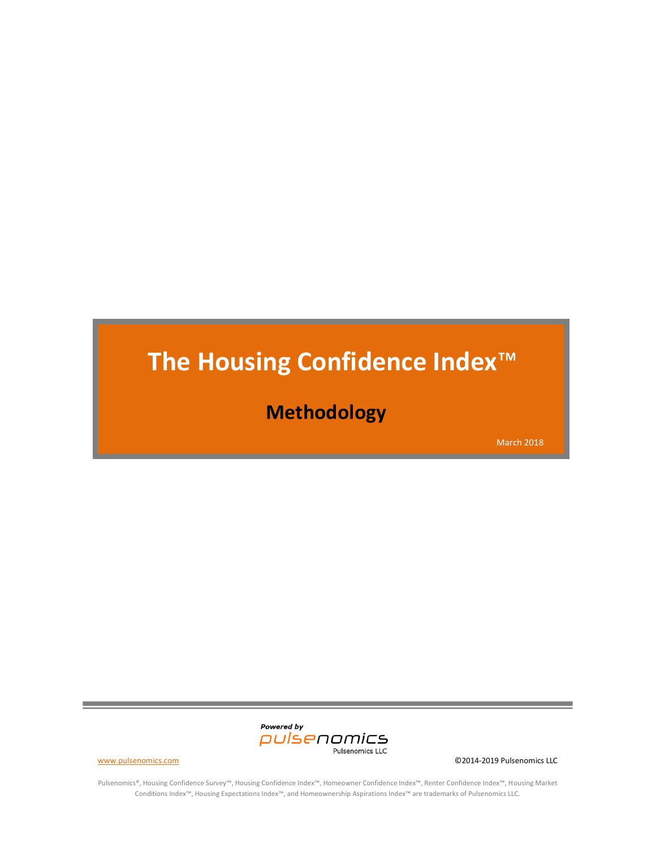# **The Housing Confidence Index**™

# **Methodology**

March 2018



Pulsenomics®, Housing Confidence Survey™, Housing Confidence Index™, Homeowner Confidence Index™, Renter Confidence Index™, Housing Market Conditions Index™, Housing Expectations Index™, and Homeownership Aspirations Index™ are trademarks of Pulsenomics LLC.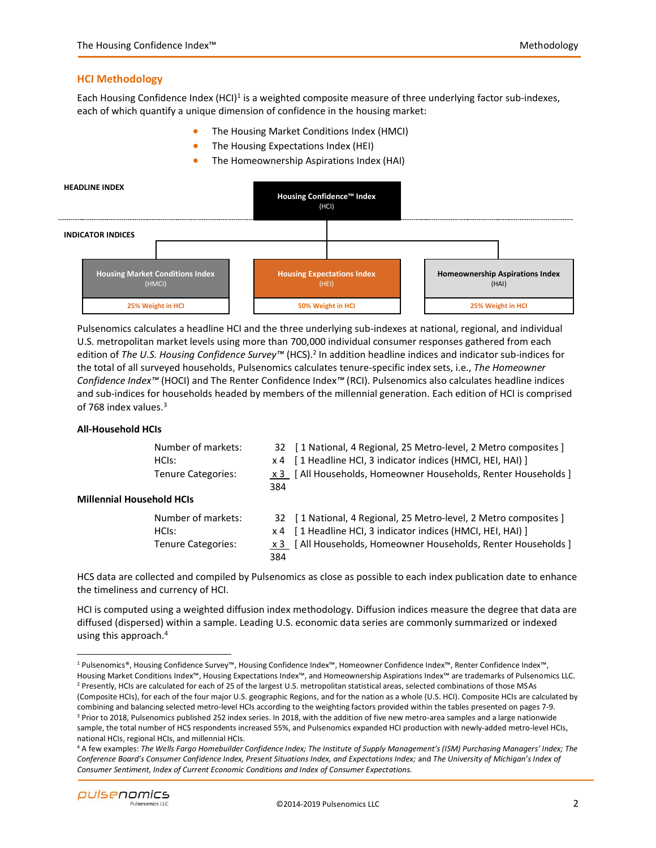# **HCI Methodology**

Each Housing Confidence Index (HCI)<sup>1</sup> is a weighted composite measure of three underlying factor sub-indexes, each of which quantify a unique dimension of confidence in the housing market:

- The Housing Market Conditions Index (HMCI)
- The Housing Expectations Index (HEI)
- The Homeownership Aspirations Index (HAI)



Pulsenomics calculates a headline HCI and the three underlying sub-indexes at national, regional, and individual U.S. metropolitan market levels using more than 700,000 individual consumer responses gathered from each edition of *The U.S. Housing Confidence Survey™* (HCS).<sup>2</sup> In addition headline indices and indicator sub-indices for the total of all surveyed households, Pulsenomics calculates tenure-specific index sets, i.e., *The Homeowner Confidence Index™* (HOCI) and The Renter Confidence Index*™* (RCI). Pulsenomics also calculates headline indices and sub-indices for households headed by members of the millennial generation. Each edition of HCI is comprised of 768 index values.<sup>3</sup>

# **All-Household HCIs**

| Number of markets:        |
|---------------------------|
| HCls:                     |
| <b>Tenure Categories:</b> |

32 [ 1 National, 4 Regional, 25 Metro-level, 2 Metro composites ]  $x 4$  [ 1 Headline HCI, 3 indicator indices (HMCI, HEI, HAI) ] x 3 [ All Households, Homeowner Households, Renter Households ] 384

# **Millennial Household HCIs**

Number of markets: 32 [ 1 National, 4 Regional, 25 Metro-level, 2 Metro composites ]

HCIs: x 4 [ 1 Headline HCI, 3 indicator indices (HMCI, HEI, HAI) ]

Tenure Categories: x 3 [ All Households, Homeowner Households, Renter Households ] 384

HCS data are collected and compiled by Pulsenomics as close as possible to each index publication date to enhance the timeliness and currency of HCI.

HCI is computed using a weighted diffusion index methodology. Diffusion indices measure the degree that data are diffused (dispersed) within a sample. Leading U.S. economic data series are commonly summarized or indexed using this approach.<sup>4</sup>

<sup>1</sup> Pulsenomics®, Housing Confidence Survey™, Housing Confidence Index™, Homeowner Confidence Index™, Renter Confidence Index™, Housing Market Conditions Index™, Housing Expectations Index™, and Homeownership Aspirations Index™ are trademarks of Pulsenomics LLC. <sup>2</sup> Presently, HCIs are calculated for each of 25 of the largest U.S. metropolitan statistical areas, selected combinations of those MSAs (Composite HCIs), for each of the four major U.S. geographic Regions, and for the nation as a whole (U.S. HCI). Composite HCIs are calculated by combining and balancing selected metro-level HCIs according to the weighting factors provided within the tables presented on pages 7-9. <sup>3</sup> Prior to 2018, Pulsenomics published 252 index series. In 2018, with the addition of five new metro-area samples and a large nationwide sample, the total number of HCS respondents increased 55%, and Pulsenomics expanded HCI production with newly-added metro-level HCIs, national HCIs, regional HCIs, and millennial HCIs.

<sup>4</sup> A few examples: *The Wells Fargo Homebuilder Confidence Index; The Institute of Supply Management's (ISM) Purchasing Managers' Index; The Conference Board's Consumer Confidence Index, Present Situations Index, and Expectations Index;* and *The University of Michigan's Index of Consumer Sentiment, Index of Current Economic Conditions and Index of Consumer Expectations.*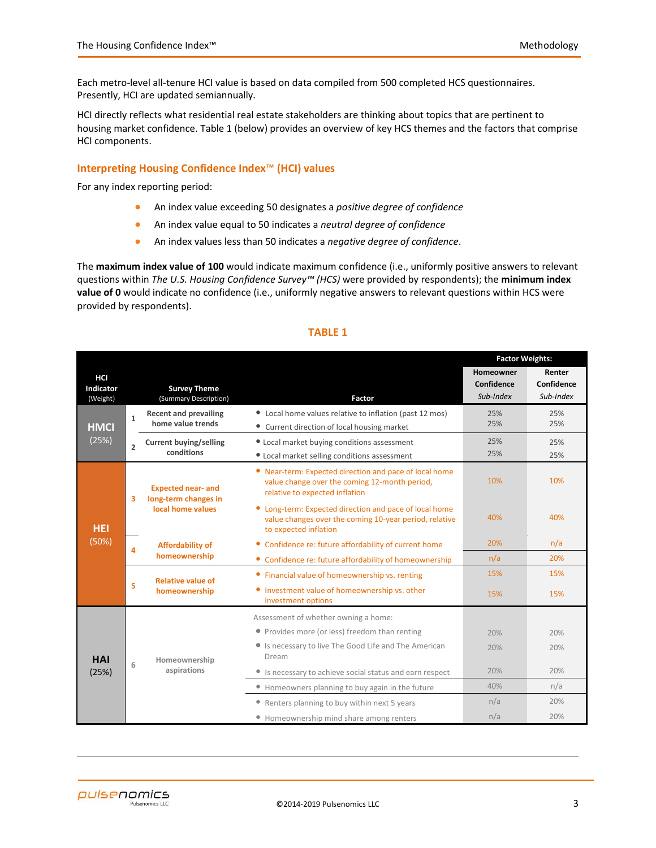Each metro-level all-tenure HCI value is based on data compiled from 500 completed HCS questionnaires. Presently, HCI are updated semiannually.

HCI directly reflects what residential real estate stakeholders are thinking about topics that are pertinent to housing market confidence. Table 1 (below) provides an overview of key HCS themes and the factors that comprise HCI components.

# **Interpreting Housing Confidence Index**™ **(HCI) values**

For any index reporting period:

- An index value exceeding 50 designates a *positive degree of confidence*
- An index value equal to 50 indicates a *neutral degree of confidence*
- An index values less than 50 indicates a *negative degree of confidence*.

The **maximum index value of 100** would indicate maximum confidence (i.e., uniformly positive answers to relevant questions within *The U.S. Housing Confidence Survey™ (HCS)* were provided by respondents); the **minimum index value of 0** would indicate no confidence (i.e., uniformly negative answers to relevant questions within HCS were provided by respondents).

|                                     |                |                                                                        | <b>Factor Weights:</b>                                                                                                                    |                                      |                                   |
|-------------------------------------|----------------|------------------------------------------------------------------------|-------------------------------------------------------------------------------------------------------------------------------------------|--------------------------------------|-----------------------------------|
| HCI<br><b>Indicator</b><br>(Weight) |                | <b>Survey Theme</b><br>(Summary Description)                           | Factor                                                                                                                                    | Homeowner<br>Confidence<br>Sub-Index | Renter<br>Confidence<br>Sub-Index |
| <b>HMCI</b>                         | $\mathbf{1}$   | <b>Recent and prevailing</b><br>home value trends                      | • Local home values relative to inflation (past 12 mos)<br>• Current direction of local housing market                                    | 25%<br>25%                           | 25%<br>25%                        |
| (25%)                               | $\overline{2}$ | <b>Current buying/selling</b><br>conditions                            | 25%<br>25%                                                                                                                                | 25%<br>25%                           |                                   |
| <b>HEI</b>                          | 3              | <b>Expected near- and</b><br>long-term changes in<br>local home values | • Near-term: Expected direction and pace of local home<br>value change over the coming 12-month period,<br>relative to expected inflation | 10%                                  | 10%                               |
|                                     |                |                                                                        | • Long-term: Expected direction and pace of local home<br>value changes over the coming 10-year period, relative<br>to expected inflation | 40%                                  | 40%                               |
| (50%)                               | 4              | <b>Affordability of</b>                                                | 20%                                                                                                                                       | n/a                                  |                                   |
|                                     |                | homeownership                                                          | • Confidence re: future affordability of homeownership                                                                                    | n/a                                  | 20%                               |
|                                     |                | <b>Relative value of</b>                                               | • Financial value of homeownership vs. renting                                                                                            | 15%                                  | 15%                               |
|                                     | 5              | homeownership                                                          | • Investment value of homeownership vs. other<br>investment options                                                                       | 15%                                  | 15%                               |
|                                     |                |                                                                        | Assessment of whether owning a home:                                                                                                      |                                      |                                   |
|                                     |                |                                                                        | • Provides more (or less) freedom than renting                                                                                            | 20%                                  | 20%                               |
| <b>HAI</b>                          | 6              | Homeownership                                                          | • Is necessary to live The Good Life and The American<br>Dream                                                                            | 20%                                  | 20%                               |
| (25%)                               |                | aspirations                                                            | • Is necessary to achieve social status and earn respect                                                                                  | 20%                                  | 20%                               |
|                                     |                |                                                                        | • Homeowners planning to buy again in the future                                                                                          | 40%                                  | n/a                               |
|                                     |                |                                                                        | • Renters planning to buy within next 5 years                                                                                             | n/a                                  | 20%                               |
|                                     |                |                                                                        | • Homeownership mind share among renters                                                                                                  | n/a                                  | 20%                               |

# **TABLE 1**

l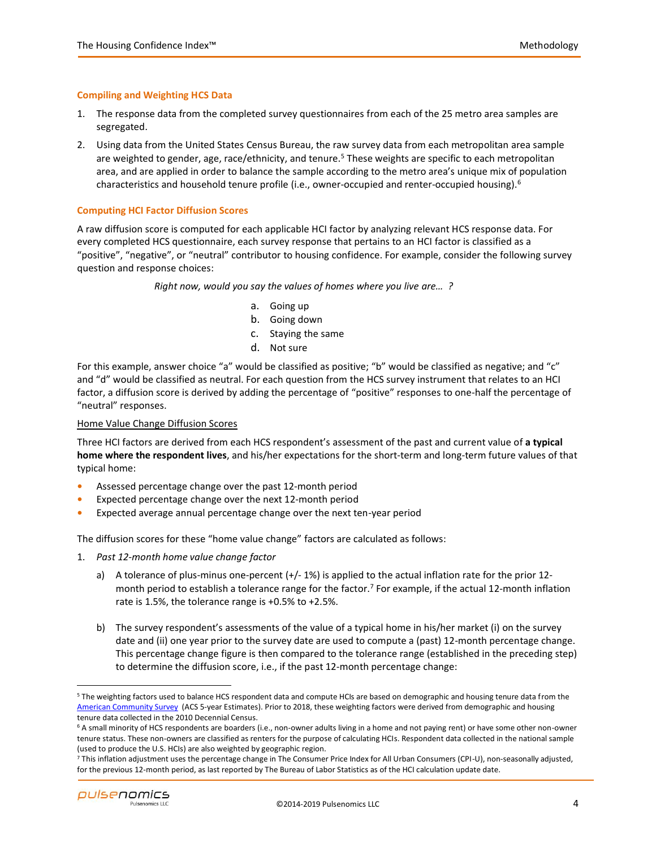# **Compiling and Weighting HCS Data**

- 1. The response data from the completed survey questionnaires from each of the 25 metro area samples are segregated.
- 2. Using data from the United States Census Bureau, the raw survey data from each metropolitan area sample are weighted to gender, age, race/ethnicity, and tenure.<sup>5</sup> These weights are specific to each metropolitan area, and are applied in order to balance the sample according to the metro area's unique mix of population characteristics and household tenure profile (i.e., owner-occupied and renter-occupied housing).<sup>6</sup>

# **Computing HCI Factor Diffusion Scores**

A raw diffusion score is computed for each applicable HCI factor by analyzing relevant HCS response data. For every completed HCS questionnaire, each survey response that pertains to an HCI factor is classified as a "positive", "negative", or "neutral" contributor to housing confidence. For example, consider the following survey question and response choices:

#### *Right now, would you say the values of homes where you live are… ?*

- a. Going up
- b. Going down
- c. Staying the same
- d. Not sure

For this example, answer choice "a" would be classified as positive; "b" would be classified as negative; and "c" and "d" would be classified as neutral. For each question from the HCS survey instrument that relates to an HCI factor, a diffusion score is derived by adding the percentage of "positive" responses to one-half the percentage of "neutral" responses.

# Home Value Change Diffusion Scores

Three HCI factors are derived from each HCS respondent's assessment of the past and current value of **a typical home where the respondent lives**, and his/her expectations for the short-term and long-term future values of that typical home:

- **•** Assessed percentage change over the past 12-month period
- **•** Expected percentage change over the next 12-month period
- **•** Expected average annual percentage change over the next ten-year period

The diffusion scores for these "home value change" factors are calculated as follows:

- 1. *Past 12-month home value change factor*
	- a) A tolerance of plus-minus one-percent  $(+/- 1%)$  is applied to the actual inflation rate for the prior 12month period to establish a tolerance range for the factor. <sup>7</sup> For example, if the actual 12-month inflation rate is 1.5%, the tolerance range is +0.5% to +2.5%.
	- b) The survey respondent's assessments of the value of a typical home in his/her market (i) on the survey date and (ii) one year prior to the survey date are used to compute a (past) 12-month percentage change. This percentage change figure is then compared to the tolerance range (established in the preceding step) to determine the diffusion score, i.e., if the past 12-month percentage change:

<sup>5</sup> The weighting factors used to balance HCS respondent data and compute HCIs are based on demographic and housing tenure data from the [American Community Survey](https://www.census.gov/programs-surveys/acs/) (ACS 5-year Estimates). Prior to 2018, these weighting factors were derived from demographic and housing tenure data collected in the 2010 Decennial Census.

<sup>6</sup> A small minority of HCS respondents are boarders (i.e., non-owner adults living in a home and not paying rent) or have some other non-owner tenure status. These non-owners are classified as renters for the purpose of calculating HCIs. Respondent data collected in the national sample (used to produce the U.S. HCIs) are also weighted by geographic region.

<sup>7</sup> This inflation adjustment uses the percentage change in The Consumer Price Index for All Urban Consumers (CPI-U), non-seasonally adjusted, for the previous 12-month period, as last reported by The Bureau of Labor Statistics as of the HCI calculation update date.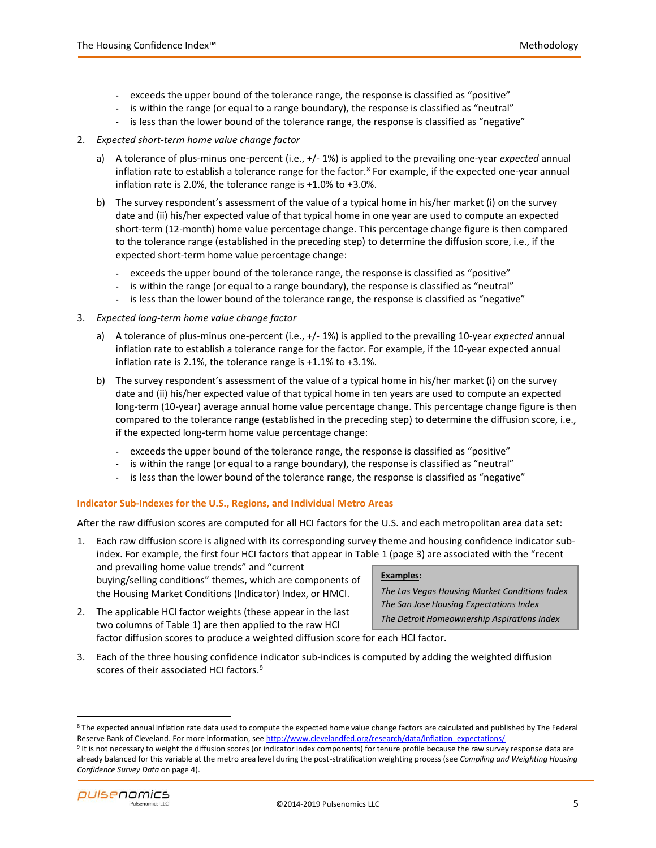- **-** exceeds the upper bound of the tolerance range, the response is classified as "positive"
- **-** is within the range (or equal to a range boundary), the response is classified as "neutral"
- **-** is less than the lower bound of the tolerance range, the response is classified as "negative"
- 2. *Expected short-term home value change factor*
	- a) A tolerance of plus-minus one-percent (i.e., +/- 1%) is applied to the prevailing one-year *expected* annual inflation rate to establish a tolerance range for the factor.<sup>8</sup> For example, if the expected one-year annual inflation rate is 2.0%, the tolerance range is +1.0% to +3.0%.
	- b) The survey respondent's assessment of the value of a typical home in his/her market (i) on the survey date and (ii) his/her expected value of that typical home in one year are used to compute an expected short-term (12-month) home value percentage change. This percentage change figure is then compared to the tolerance range (established in the preceding step) to determine the diffusion score, i.e., if the expected short-term home value percentage change:
		- **-** exceeds the upper bound of the tolerance range, the response is classified as "positive"
		- is within the range (or equal to a range boundary), the response is classified as "neutral"
		- **-** is less than the lower bound of the tolerance range, the response is classified as "negative"
- 3. *Expected long-term home value change factor*
	- a) A tolerance of plus-minus one-percent (i.e., +/- 1%) is applied to the prevailing 10-year *expected* annual inflation rate to establish a tolerance range for the factor. For example, if the 10-year expected annual inflation rate is 2.1%, the tolerance range is +1.1% to +3.1%.
	- b) The survey respondent's assessment of the value of a typical home in his/her market (i) on the survey date and (ii) his/her expected value of that typical home in ten years are used to compute an expected long-term (10-year) average annual home value percentage change. This percentage change figure is then compared to the tolerance range (established in the preceding step) to determine the diffusion score, i.e., if the expected long-term home value percentage change:
		- **-** exceeds the upper bound of the tolerance range, the response is classified as "positive"
		- **-** is within the range (or equal to a range boundary), the response is classified as "neutral"
		- **-** is less than the lower bound of the tolerance range, the response is classified as "negative"

# **Indicator Sub-Indexes for the U.S., Regions, and Individual Metro Areas**

After the raw diffusion scores are computed for all HCI factors for the U.S. and each metropolitan area data set:

- **Examples:** *The Las Vegas Housing Market Conditions Index* 1. Each raw diffusion score is aligned with its corresponding survey theme and housing confidence indicator subindex. For example, the first four HCI factors that appear in Table 1 (page 3) are associated with the "recent and prevailing home value trends" and "current buying/selling conditions" themes, which are components of the Housing Market Conditions (Indicator) Index, or HMCI.
- 2. The applicable HCI factor weights (these appear in the last two columns of Table 1) are then applied to the raw HCI factor diffusion scores to produce a weighted diffusion score for each HCI factor.

*The San Jose Housing Expectations Index The Detroit Homeownership Aspirations Index*

- 
- 3. Each of the three housing confidence indicator sub-indices is computed by adding the weighted diffusion scores of their associated HCI factors.<sup>9</sup>

<sup>&</sup>lt;sup>9</sup> It is not necessary to weight the diffusion scores (or indicator index components) for tenure profile because the raw survey response data are already balanced for this variable at the metro area level during the post-stratification weighting process (see *Compiling and Weighting Housing Confidence Survey Data* on page 4).



<sup>&</sup>lt;sup>8</sup> The expected annual inflation rate data used to compute the expected home value change factors are calculated and published by The Federal Reserve Bank of Cleveland. For more information, see http://www.clevelandfed.org/research/data/inflation expectations/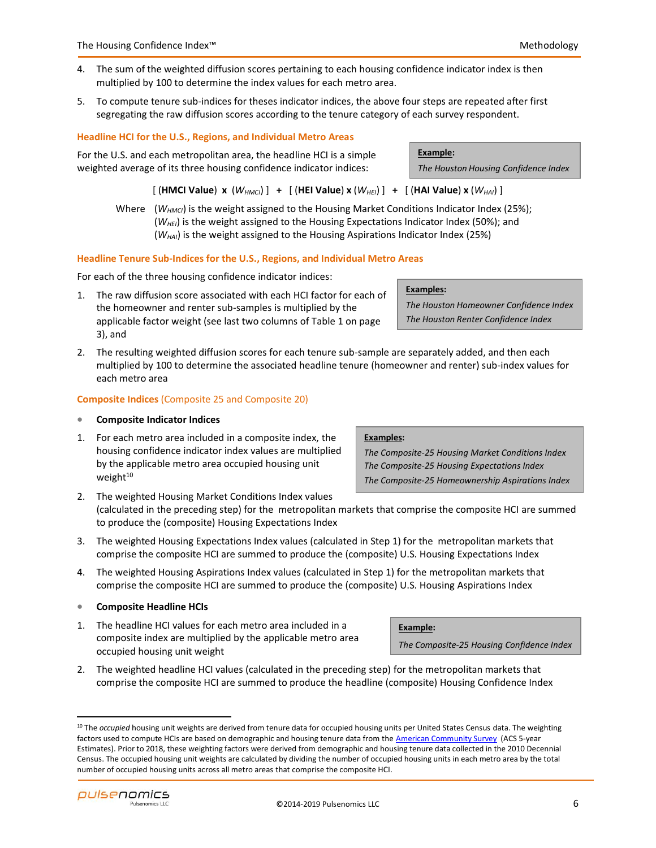- 4. The sum of the weighted diffusion scores pertaining to each housing confidence indicator index is then multiplied by 100 to determine the index values for each metro area.
- 5. To compute tenure sub-indices for theses indicator indices, the above four steps are repeated after first segregating the raw diffusion scores according to the tenure category of each survey respondent.

# **Headline HCI for the U.S., Regions, and Individual Metro Areas**

For the U.S. and each metropolitan area, the headline HCI is a simple weighted average of its three housing confidence indicator indices:

[ (**HMCI Value**) **x** (*WHMCI*) ] **+** [ (**HEI Value**) **x** (*WHEI*) ] **+** [ (**HAI Value**) **x** (*WHAI*) ]

Where ( $W_{HMCI}$ ) is the weight assigned to the Housing Market Conditions Indicator Index (25%); (*WHEI*) is the weight assigned to the Housing Expectations Indicator Index (50%); and (*WHAI*) is the weight assigned to the Housing Aspirations Indicator Index (25%)

#### **Headline Tenure Sub-Indices for the U.S., Regions, and Individual Metro Areas**

For each of the three housing confidence indicator indices:

- 1. The raw diffusion score associated with each HCI factor for each of the homeowner and renter sub-samples is multiplied by the applicable factor weight (see last two columns of Table 1 on page 3), and
- 2. The resulting weighted diffusion scores for each tenure sub-sample are separately added, and then each multiplied by 100 to determine the associated headline tenure (homeowner and renter) sub-index values for each metro area

#### **Composite Indices** (Composite 25 and Composite 20)

#### • **Composite Indicator Indices**

1. For each metro area included in a composite index, the housing confidence indicator index values are multiplied by the applicable metro area occupied housing unit weight<sup>10</sup>

# **Examples:**

**Example:**

**Example:**

*The Houston Homeowner Confidence Index The Houston Renter Confidence Index*

*The Houston Housing Confidence Index*

#### **Examples:**

*The Composite-25 Housing Market Conditions Index The Composite-25 Housing Expectations Index The Composite-25 Homeownership Aspirations Index*

*The Composite-25 Housing Confidence Index*

- 2. The weighted Housing Market Conditions Index values (calculated in the preceding step) for the metropolitan markets that comprise the composite HCI are summed to produce the (composite) Housing Expectations Index
- 3. The weighted Housing Expectations Index values (calculated in Step 1) for the metropolitan markets that comprise the composite HCI are summed to produce the (composite) U.S. Housing Expectations Index
- 4. The weighted Housing Aspirations Index values (calculated in Step 1) for the metropolitan markets that comprise the composite HCI are summed to produce the (composite) U.S. Housing Aspirations Index

# • **Composite Headline HCIs**

- 1. The headline HCI values for each metro area included in a composite index are multiplied by the applicable metro area occupied housing unit weight
- 2. The weighted headline HCI values (calculated in the preceding step) for the metropolitan markets that comprise the composite HCI are summed to produce the headline (composite) Housing Confidence Index

<sup>&</sup>lt;sup>10</sup> The *occupied* housing unit weights are derived from tenure data for occupied housing units per United States Census data. The weighting factors used to compute HCIs are based on demographic and housing tenure data from th[e American Community Survey](https://www.census.gov/programs-surveys/acs/) (ACS 5-year Estimates). Prior to 2018, these weighting factors were derived from demographic and housing tenure data collected in the 2010 Decennial Census. The occupied housing unit weights are calculated by dividing the number of occupied housing units in each metro area by the total number of occupied housing units across all metro areas that comprise the composite HCI.

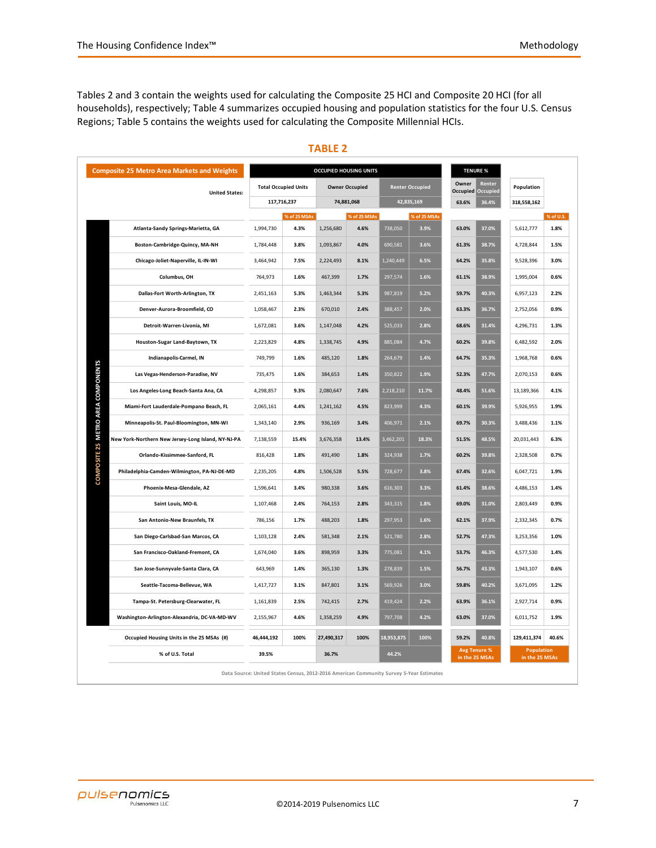Tables 2 and 3 contain the weights used for calculating the Composite 25 HCI and Composite 20 HCI (for all households), respectively; Table 4 summarizes occupied housing and population statistics for the four U.S. Census Regions; Table 5 contains the weights used for calculating the Composite Millennial HCIs.

| <b>Composite 25 Metro Area Markets and Weights</b> |                                                    |             |                             | <b>OCCUPIED HOUSING UNITS</b> |                       | <b>TENURE %</b> |                        |                |                                       |                                     |           |
|----------------------------------------------------|----------------------------------------------------|-------------|-----------------------------|-------------------------------|-----------------------|-----------------|------------------------|----------------|---------------------------------------|-------------------------------------|-----------|
| <b>United States:</b>                              |                                                    |             | <b>Total Occupied Units</b> |                               | <b>Owner Occupied</b> |                 | <b>Renter Occupied</b> | Owner          | Renter<br><b>Occupied Occupied</b>    | Population                          |           |
|                                                    |                                                    | 117,716,237 |                             |                               | 74,881,068            | 42,835,169      |                        | 36.4%<br>63.6% |                                       | 318,558,162                         |           |
|                                                    |                                                    |             | % of 25 MSAs                |                               | % of 25 MSAs          |                 | % of 25 MSAs           |                |                                       |                                     | % of U.S. |
|                                                    | Atlanta-Sandy Springs-Marietta, GA                 | 1,994,730   | 4.3%                        | 1,256,680                     | 4.6%                  | 738,050         | 3.9%                   | 63.0%          | 37.0%                                 | 5,612,777                           | 1.8%      |
|                                                    | Boston-Cambridge-Quincy, MA-NH                     | 1,784,448   | 3.8%                        | 1,093,867                     | 4.0%                  | 690,581         | 3.6%                   | 61.3%          | 38.7%                                 | 4,728,844                           | 1.5%      |
|                                                    | Chicago-Joliet-Naperville, IL-IN-WI                | 3,464,942   | 7.5%                        | 2,224,493                     | 8.1%                  | 1,240,449       | 6.5%                   | 64.2%          | 35.8%                                 | 9,528,396                           | 3.0%      |
|                                                    | Columbus, OH                                       | 764,973     | 1.6%                        | 467,399                       | 1.7%                  | 297,574         | 1.6%                   | 61.1%          | 38.9%                                 | 1,995,004                           | 0.6%      |
|                                                    | Dallas-Fort Worth-Arlington, TX                    | 2,451,163   | 5.3%                        | 1,463,344                     | 5.3%                  | 987,819         | 5.2%                   | 59.7%          | 40.3%                                 | 6,957,123                           | 2.2%      |
|                                                    | Denver-Aurora-Broomfield, CO                       | 1,058,467   | 2.3%                        | 670,010                       | 2.4%                  | 388,457         | 2.0%                   | 63.3%          | 36.7%                                 | 2,752,056                           | 0.9%      |
|                                                    | Detroit-Warren-Livonia, MI                         | 1,672,081   | 3.6%                        | 1,147,048                     | 4.2%                  | 525,033         | 2.8%                   | 68.6%          | 31.4%                                 | 4,296,731                           | 1.3%      |
|                                                    | Houston-Sugar Land-Baytown, TX                     | 2,223,829   | 4.8%                        | 1,338,745                     | 4.9%                  | 885,084         | 4.7%                   | 60.2%          | 39.8%                                 | 6,482,592                           | 2.0%      |
|                                                    | Indianapolis-Carmel, IN                            | 749,799     | 1.6%                        | 485,120                       | 1.8%                  | 264,679         | 1.4%                   | 64.7%          | 35.3%                                 | 1,968,768                           | 0.6%      |
|                                                    | Las Vegas-Henderson-Paradise, NV                   | 735,475     | 1.6%                        | 384,653                       | 1.4%                  | 350,822         | 1.9%                   | 52.3%          | 47.7%                                 | 2,070,153                           | 0.6%      |
|                                                    | Los Angeles-Long Beach-Santa Ana, CA               | 4,298,857   | 9.3%                        | 2,080,647                     | 7.6%                  | 2,218,210       | 11.7%                  | 48.4%          | 51.6%                                 | 13,189,366                          | 4.1%      |
| COMPOSITE 25 METRO AREA COMPONENTS                 | Miami-Fort Lauderdale-Pompano Beach, FL            | 2,065,161   | 4.4%                        | 1,241,162                     | 4.5%                  | 823,999         | 4.3%                   | 60.1%          | 39.9%                                 | 5,926,955                           | 1.9%      |
|                                                    | Minneapolis-St. Paul-Bloomington, MN-WI            | 1,343,140   | 2.9%                        | 936,169                       | 3.4%                  | 406,971         | 2.1%                   | 69.7%          | 30.3%                                 | 3,488,436                           | 1.1%      |
|                                                    | New York-Northern New Jersey-Long Island, NY-NJ-PA | 7,138,559   | 15.4%                       | 3,676,358                     | 13.4%                 | 3,462,201       | 18.3%                  | 51.5%          | 48.5%                                 | 20,031,443                          | 6.3%      |
|                                                    | Orlando-Kissimmee-Sanford, FL                      | 816,428     | 1.8%                        | 491,490                       | 1.8%                  | 324,938         | 1.7%                   | 60.2%          | 39.8%                                 | 2,328,508                           | 0.7%      |
|                                                    | Philadelphia-Camden-Wilmington, PA-NJ-DE-MD        | 2,235,205   | 4.8%                        | 1,506,528                     | 5.5%                  | 728,677         | 3.8%                   | 67.4%          | 32.6%                                 | 6,047,721                           | 1.9%      |
|                                                    | Phoenix-Mesa-Glendale, AZ                          | 1,596,641   | 3.4%                        | 980,338                       | 3.6%                  | 616,303         | 3.3%                   | 61.4%          | 38.6%                                 | 4,486,153                           | 1.4%      |
|                                                    | Saint Louis, MO-IL                                 | 1,107,468   | 2.4%                        | 764,153                       | 2.8%                  | 343,315         | 1.8%                   | 69.0%          | 31.0%                                 | 2,803,449                           | 0.9%      |
|                                                    | San Antonio-New Braunfels, TX                      | 786,156     | 1.7%                        | 488,203                       | 1.8%                  | 297,953         | 1.6%                   | 62.1%          | 37.9%                                 | 2,332,345                           | 0.7%      |
|                                                    | San Diego-Carlsbad-San Marcos, CA                  | 1,103,128   | 2.4%                        | 581,348                       | 2.1%                  | 521,780         | 2.8%                   | 52.7%          | 47.3%                                 | 3,253,356                           | 1.0%      |
|                                                    | San Francisco-Oakland-Fremont, CA                  | 1,674,040   | 3.6%                        | 898,959                       | 3.3%                  | 775,081         | 4.1%                   | 53.7%          | 46.3%                                 | 4,577,530                           | 1.4%      |
|                                                    | San Jose-Sunnyvale-Santa Clara, CA                 | 643,969     | 1.4%                        | 365,130                       | 1.3%                  | 278,839         | 1.5%                   | 56.7%          | 43.3%                                 | 1,943,107                           | 0.6%      |
|                                                    | Seattle-Tacoma-Bellevue, WA                        | 1,417,727   | 3.1%                        | 847,801                       | 3.1%                  | 569,926         | 3.0%                   | 59.8%          | 40.2%                                 | 3,671,095                           | 1.2%      |
|                                                    | Tampa-St. Petersburg-Clearwater, FL                | 1,161,839   | 2.5%                        | 742,415                       | 2.7%                  | 419,424         | 2.2%                   | 63.9%          | 36.1%                                 | 2,927,714                           | 0.9%      |
|                                                    | Washington-Arlington-Alexandria, DC-VA-MD-WV       | 2,155,967   | 4.6%                        | 1,358,259                     | 4.9%                  | 797,708         | 4.2%                   | 63.0%          | 37.0%                                 | 6,011,752                           | 1.9%      |
|                                                    | Occupied Housing Units in the 25 MSAs (#)          | 46,444,192  | 100%                        | 27,490,317                    | 100%                  | 18,953,875      | 100%                   | 59.2%          | 40.8%                                 | 129,411,374                         | 40.6%     |
|                                                    | % of U.S. Total                                    | 39.5%       |                             | 36.7%                         |                       | 44.2%           |                        |                | <b>Avg Tenure %</b><br>in the 25 MSAs | <b>Population</b><br>in the 25 MSAs |           |

# **TABLE 2**

**Data Source: United States Census, 2012-2016 American Community Survey 5-Year Estimates**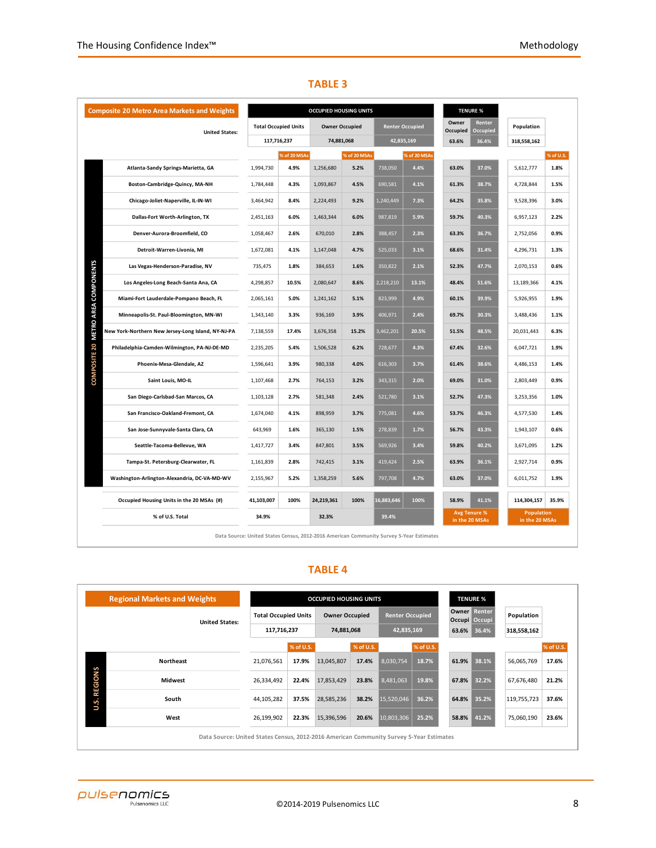|                                    | <b>Composite 20 Metro Area Markets and Weights</b> |              |                             | <b>OCCUPIED HOUSING UNITS</b> |                       |              | <b>TENURE %</b>        |                   |                                       |                                     |           |
|------------------------------------|----------------------------------------------------|--------------|-----------------------------|-------------------------------|-----------------------|--------------|------------------------|-------------------|---------------------------------------|-------------------------------------|-----------|
|                                    | <b>United States:</b>                              |              | <b>Total Occupied Units</b> |                               | <b>Owner Occupied</b> |              | <b>Renter Occupied</b> | Owner<br>Occupied | Renter<br>Occupied                    | Population                          |           |
|                                    |                                                    |              | 117,716,237                 |                               | 74,881,068            | 42,835,169   |                        | 63.6%             | 36.4%                                 | 318,558,162                         |           |
|                                    |                                                    | % of 20 MSAs |                             | % of 20 MSAs                  |                       | % of 20 MSAs |                        |                   |                                       |                                     | % of U.S. |
|                                    | Atlanta-Sandy Springs-Marietta, GA                 | 1,994,730    | 4.9%                        | 1,256,680                     | 5.2%                  | 738,050      | 4.4%                   | 63.0%             | 37.0%                                 | 5,612,777                           | 1.8%      |
|                                    | Boston-Cambridge-Quincy, MA-NH                     | 1,784,448    | 4.3%                        | 1,093,867                     | 4.5%                  | 690,581      | 4.1%                   | 61.3%             | 38.7%                                 | 4,728,844                           | 1.5%      |
|                                    | Chicago-Joliet-Naperville, IL-IN-WI                | 3,464,942    | 8.4%                        | 2,224,493                     | 9.2%                  | 1,240,449    | 7.3%                   | 64.2%             | 35.8%                                 | 9,528,396                           | 3.0%      |
|                                    | Dallas-Fort Worth-Arlington, TX                    | 2,451,163    | 6.0%                        | 1,463,344                     | 6.0%                  | 987,819      | 5.9%                   | 59.7%             | 40.3%                                 | 6,957,123                           | 2.2%      |
|                                    | Denver-Aurora-Broomfield, CO                       | 1,058,467    | 2.6%                        | 670,010                       | 2.8%                  | 388,457      | 2.3%                   | 63.3%             | 36.7%                                 | 2,752,056                           | 0.9%      |
|                                    | Detroit-Warren-Livonia, MI                         | 1,672,081    | 4.1%                        | 1,147,048                     | 4.7%                  | 525,033      | 3.1%                   | 68.6%             | 31.4%                                 | 4,296,731                           | 1.3%      |
|                                    | Las Vegas-Henderson-Paradise, NV                   | 735,475      | 1.8%                        | 384,653                       | 1.6%                  | 350,822      | 2.1%                   | 52.3%             | 47.7%                                 | 2,070,153                           | 0.6%      |
| COMPOSITE 20 METRO AREA COMPONENTS | Los Angeles-Long Beach-Santa Ana, CA               | 4,298,857    | 10.5%                       | 2,080,647                     | 8.6%                  | 2,218,210    | 13.1%                  | 48.4%             | 51.6%                                 | 13,189,366                          | 4.1%      |
|                                    | Miami-Fort Lauderdale-Pompano Beach, FL            | 2,065,161    | 5.0%                        | 1,241,162                     | 5.1%                  | 823,999      | 4.9%                   | 60.1%             | 39.9%                                 | 5,926,955                           | 1.9%      |
|                                    | Minneapolis-St. Paul-Bloomington, MN-WI            | 1,343,140    | 3.3%                        | 936,169                       | 3.9%                  | 406,971      | 2.4%                   | 69.7%             | 30.3%                                 | 3,488,436                           | 1.1%      |
|                                    | New York-Northern New Jersey-Long Island, NY-NJ-PA | 7,138,559    | 17.4%                       | 3,676,358                     | 15.2%                 | 3,462,201    | 20.5%                  | 51.5%             | 48.5%                                 | 20,031,443                          | 6.3%      |
|                                    | Philadelphia-Camden-Wilmington, PA-NJ-DE-MD        | 2,235,205    | 5.4%                        | 1,506,528                     | 6.2%                  | 728,677      | 4.3%                   | 67.4%             | 32.6%                                 | 6,047,721                           | 1.9%      |
|                                    | Phoenix-Mesa-Glendale, AZ                          | 1,596,641    | 3.9%                        | 980,338                       | 4.0%                  | 616,303      | 3.7%                   | 61.4%             | 38.6%                                 | 4,486,153                           | 1.4%      |
|                                    | Saint Louis, MO-IL                                 | 1,107,468    | 2.7%                        | 764,153                       | 3.2%                  | 343,315      | 2.0%                   | 69.0%             | 31.0%                                 | 2,803,449                           | 0.9%      |
|                                    | San Diego-Carlsbad-San Marcos, CA                  | 1,103,128    | 2.7%                        | 581,348                       | 2.4%                  | 521,780      | 3.1%                   | 52.7%             | 47.3%                                 | 3,253,356                           | 1.0%      |
|                                    | San Francisco-Oakland-Fremont, CA                  | 1,674,040    | 4.1%                        | 898,959                       | 3.7%                  | 775,081      | 4.6%                   | 53.7%             | 46.3%                                 | 4,577,530                           | 1.4%      |
|                                    | San Jose-Sunnyvale-Santa Clara, CA                 | 643,969      | 1.6%                        | 365,130                       | 1.5%                  | 278,839      | 1.7%                   | 56.7%             | 43.3%                                 | 1,943,107                           | 0.6%      |
|                                    | Seattle-Tacoma-Bellevue, WA                        | 1,417,727    | 3.4%                        | 847,801                       | 3.5%                  | 569,926      | 3.4%                   | 59.8%             | 40.2%                                 | 3,671,095                           | 1.2%      |
|                                    | Tampa-St. Petersburg-Clearwater, FL                | 1,161,839    | 2.8%                        | 742,415                       | 3.1%                  | 419,424      | 2.5%                   | 63.9%             | 36.1%                                 | 2,927,714                           | 0.9%      |
|                                    | Washington-Arlington-Alexandria, DC-VA-MD-WV       | 2,155,967    | 5.2%                        | 1,358,259                     | 5.6%                  | 797,708      | 4.7%                   | 63.0%             | 37.0%                                 | 6,011,752                           | 1.9%      |
|                                    | Occupied Housing Units in the 20 MSAs (#)          | 41,103,007   | 100%                        | 24,219,361                    | 100%                  | 16,883,646   | 100%                   | 58.9%             | 41.1%                                 | 114,304,157                         | 35.9%     |
|                                    | % of U.S. Total                                    | 34.9%        |                             | 32.3%                         |                       | 39.4%        |                        |                   | <b>Avg Tenure %</b><br>in the 20 MSAs | <b>Population</b><br>in the 20 MSAs |           |

# **TABLE 3**

**Data Source: United States Census, 2012-2016 American Community Survey 5-Year Estimates**

# **TABLE 4**

|                     | <b>Regional Markets and Weights</b>                                                     |                             |           | <b>OCCUPIED HOUSING UNITS</b> |           | <b>TENURE %</b>        |           |             |                         |             |           |
|---------------------|-----------------------------------------------------------------------------------------|-----------------------------|-----------|-------------------------------|-----------|------------------------|-----------|-------------|-------------------------|-------------|-----------|
|                     | <b>United States:</b>                                                                   | <b>Total Occupied Units</b> |           | <b>Owner Occupied</b>         |           | <b>Renter Occupied</b> |           | Owner       | Renter<br>Occupi Occupi | Population  |           |
|                     |                                                                                         | 117,716,237                 |           | 74,881,068                    |           | 42,835,169             |           | 63.6% 36.4% |                         | 318,558,162 |           |
|                     |                                                                                         |                             | % of U.S. |                               | % of U.S. |                        | % of U.S. |             |                         |             | % of U.S. |
| <b>U.S. REGIONS</b> | <b>Northeast</b>                                                                        | 21,076,561                  | 17.9%     | 13,045,807                    | 17.4%     | 8,030,754              | 18.7%     | 61.9%       | 38.1%                   | 56,065,769  | 17.6%     |
|                     | <b>Midwest</b>                                                                          | 26,334,492                  | 22.4%     | 17,853,429                    | 23.8%     | 8,481,063              | 19.8%     | 67.8%       | 32.2%                   | 67,676,480  | 21.2%     |
|                     | South                                                                                   | 44,105,282                  | 37.5%     | 28,585,236                    | 38.2%     | 15,520,046             | 36.2%     | 64.8%       | 35.2%                   | 119,755,723 | 37.6%     |
|                     | West                                                                                    | 26,199,902                  | 22.3%     | 15,396,596                    | 20.6%     | 10,803,306             | 25.2%     | 58.8%       | 41.2%                   | 75,060,190  | 23.6%     |
|                     | Data Source: United States Census, 2012-2016 American Community Survey 5-Year Estimates |                             |           |                               |           |                        |           |             |                         |             |           |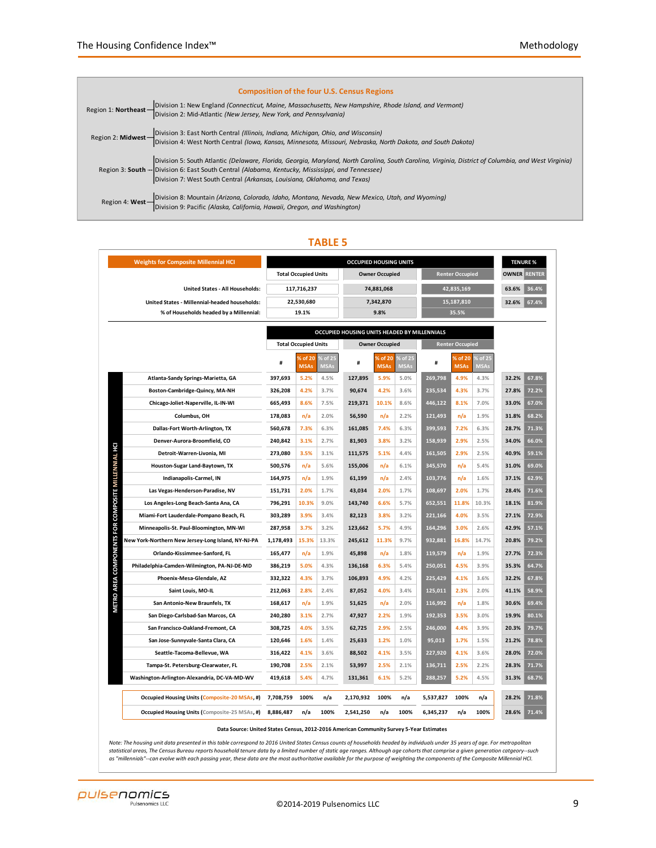| <b>Composition of the four U.S. Census Regions</b>                                                                                                                                                                                                                                                                                     |
|----------------------------------------------------------------------------------------------------------------------------------------------------------------------------------------------------------------------------------------------------------------------------------------------------------------------------------------|
| Region 1: Northeast - Division 1: New England (Connecticut, Maine, Massachusetts, New Hampshire, Rhode Island, and Vermont)<br>Division 2: Mid-Atlantic (New Jersey, New York, and Pennsylvania)                                                                                                                                       |
| Region 2: Midwest - Division 3: East North Central (Illinois, Indiana, Michigan, Ohio, and Wisconsin)<br>Division 4: West North Central (Iowa, Kansas, Minnesota, Missouri, Nebraska, North Dakota, and South Dakota)                                                                                                                  |
| Division 5: South Atlantic (Delaware, Florida, Georgia, Maryland, North Carolina, South Carolina, Virginia, District of Columbia, and West Virginia)<br>Region 3: South -- Division 6: East South Central (Alabama, Kentucky, Mississippi, and Tennessee)<br>Division 7: West South Central (Arkansas, Louisiana, Oklahoma, and Texas) |
| Region 4: West - Division 8: Mountain (Arizona, Colorado, Idaho, Montana, Nevada, New Mexico, Utah, and Wyoming)<br>Division 9: Pacific (Alaska, California, Hawaii, Oregon, and Washington)                                                                                                                                           |

| <b>Weights for Composite Millennial HCI</b>                                      | <b>OCCUPIED HOUSING UNITS</b> |                             |                          |                                              |                        |                        |           |                        |                        |       | <b>TENURE %</b> |
|----------------------------------------------------------------------------------|-------------------------------|-----------------------------|--------------------------|----------------------------------------------|------------------------|------------------------|-----------|------------------------|------------------------|-------|-----------------|
|                                                                                  |                               | <b>Total Occupied Units</b> |                          |                                              | <b>Owner Occupied</b>  |                        |           | <b>OWNER RENTER</b>    |                        |       |                 |
| United States - All Households:                                                  |                               | 117,716,237                 |                          |                                              | 74,881,068             |                        |           | 42,835,169             | 63.6%                  | 36.4% |                 |
| United States - Millennial-headed households:                                    |                               | 22,530,680                  |                          | 7,342,870                                    |                        |                        |           | 15,187,810             | 32.6%                  | 67.4% |                 |
| % of Households headed by a Millennial:                                          | 19.1%<br>9.8%                 |                             |                          |                                              |                        |                        | 35.5%     |                        |                        |       |                 |
|                                                                                  |                               |                             |                          |                                              |                        |                        |           |                        |                        |       |                 |
|                                                                                  |                               |                             |                          | OCCUPIED HOUSING UNITS HEADED BY MILLENNIALS |                        |                        |           |                        |                        |       |                 |
|                                                                                  |                               | <b>Total Occupied Units</b> |                          | <b>Owner Occupied</b>                        |                        |                        |           | <b>Renter Occupied</b> |                        |       |                 |
|                                                                                  | #                             | % of 20<br><b>MSAs</b>      | $6$ of 25<br><b>MSAs</b> | #                                            | % of 20<br><b>MSAs</b> | % of 25<br><b>MSAs</b> | #         | % of 20<br><b>MSAs</b> | % of 25<br><b>MSAs</b> |       |                 |
| Atlanta-Sandy Springs-Marietta, GA                                               | 397,693                       | 5.2%                        | 4.5%                     | 127,895                                      | 5.9%                   | 5.0%                   | 269,798   | 4.9%                   | 4.3%                   | 32.2% | 67.8%           |
| Boston-Cambridge-Quincy, MA-NH                                                   | 326,208                       | 4.2%                        | 3.7%                     | 90,674                                       | 4.2%                   | 3.6%                   | 235,534   | 4.3%                   | 3.7%                   | 27.8% | 72.2%           |
| Chicago-Joliet-Naperville, IL-IN-WI                                              | 665,493                       | 8.6%                        | 7.5%                     | 219,371                                      | 10.1%                  | 8.6%                   | 446,122   | 8.1%                   | 7.0%                   | 33.0% | 67.0%           |
| Columbus, OH                                                                     | 178,083                       | n/a                         | 2.0%                     | 56,590                                       | n/a                    | 2.2%                   | 121,493   | n/a                    | 1.9%                   | 31.8% | 68.2%           |
| Dallas-Fort Worth-Arlington, TX                                                  | 560,678                       | 7.3%                        | 6.3%                     | 161,085                                      | 7.4%                   | 6.3%                   | 399,593   | 7.2%                   | 6.3%                   | 28.7% | 71.3%           |
| Denver-Aurora-Broomfield, CO                                                     | 240,842                       | 3.1%                        | 2.7%                     | 81,903                                       | 3.8%                   | 3.2%                   | 158,939   | 2.9%                   | 2.5%                   | 34.0% | 66.0%           |
| METRO AREA COMPONENTS FOR COMPOSITE MILLENNIAL HCI<br>Detroit-Warren-Livonia, MI | 273,080                       | 3.5%                        | 3.1%                     | 111,575                                      | 5.1%                   | 4.4%                   | 161,505   | 2.9%                   | 2.5%                   | 40.9% | 59.1%           |
| Houston-Sugar Land-Baytown, TX                                                   | 500,576                       | n/a                         | 5.6%                     | 155,006                                      | n/a                    | 6.1%                   | 345,570   | n/a                    | 5.4%                   | 31.0% | 69.0%           |
| Indianapolis-Carmel, IN                                                          | 164,975                       | n/a                         | 1.9%                     | 61,199                                       | n/a                    | 2.4%                   | 103,776   | n/a                    | 1.6%                   | 37.1% | 62.9%           |
| Las Vegas-Henderson-Paradise, NV                                                 | 151,731                       | 2.0%                        | 1.7%                     | 43,034                                       | 2.0%                   | 1.7%                   | 108,697   | 2.0%                   | 1.7%                   | 28.4% | 71.6%           |
| Los Angeles-Long Beach-Santa Ana, CA                                             | 796,291                       | 10.3%                       | 9.0%                     | 143,740                                      | 6.6%                   | 5.7%                   | 652,551   | 11.8%                  | 10.3%                  | 18.1% | 81.9%           |
| Miami-Fort Lauderdale-Pompano Beach, FL                                          | 303,289                       | 3.9%                        | 3.4%                     | 82,123                                       | 3.8%                   | 3.2%                   | 221,166   | 4.0%                   | 3.5%                   | 27.1% | 72.9%           |
| Minneapolis-St. Paul-Bloomington, MN-WI                                          | 287,958                       | 3.7%                        | 3.2%                     | 123,662                                      | 5.7%                   | 4.9%                   | 164,296   | 3.0%                   | 2.6%                   | 42.9% | 57.1%           |
| New York-Northern New Jersey-Long Island, NY-NJ-PA                               | 1,178,493                     | 15.3%                       | 13.3%                    | 245,612                                      | 11.3%                  | 9.7%                   | 932,881   | 16.8%                  | 14.7%                  | 20.8% | 79.2%           |
| Orlando-Kissimmee-Sanford, FL                                                    | 165,477                       | n/a                         | 1.9%                     | 45,898                                       | n/a                    | 1.8%                   | 119,579   | n/a                    | 1.9%                   | 27.7% | 72.3%           |
| Philadelphia-Camden-Wilmington, PA-NJ-DE-MD                                      | 386,219                       | 5.0%                        | 4.3%                     | 136,168                                      | 6.3%                   | 5.4%                   | 250,051   | 4.5%                   | 3.9%                   | 35.3% | 64.7%           |
| Phoenix-Mesa-Glendale, AZ                                                        | 332,322                       | 4.3%                        | 3.7%                     | 106,893                                      | 4.9%                   | 4.2%                   | 225,429   | 4.1%                   | 3.6%                   | 32.2% | 67.8%           |
| Saint Louis, MO-IL                                                               | 212,063                       | 2.8%                        | 2.4%                     | 87,052                                       | 4.0%                   | 3.4%                   | 125,011   | 2.3%                   | 2.0%                   | 41.1% | 58.9%           |
| San Antonio-New Braunfels, TX                                                    | 168,617                       | n/a                         | 1.9%                     | 51,625                                       | n/a                    | 2.0%                   | 116,992   | n/a                    | 1.8%                   | 30.6% | 69.4%           |
| San Diego-Carlsbad-San Marcos, CA                                                | 240,280                       | 3.1%                        | 2.7%                     | 47,927                                       | 2.2%                   | 1.9%                   | 192,353   | 3.5%                   | 3.0%                   | 19.9% | 80.1%           |
| San Francisco-Oakland-Fremont, CA                                                | 308,725                       | 4.0%                        | 3.5%                     | 62,725                                       | 2.9%                   | 2.5%                   | 246,000   | 4.4%                   | 3.9%                   | 20.3% | 79.7%           |
| San Jose-Sunnyvale-Santa Clara, CA                                               | 120,646                       | 1.6%                        | 1.4%                     | 25,633                                       | 1.2%                   | 1.0%                   | 95,013    | 1.7%                   | 1.5%                   | 21.2% | 78.8%           |
| Seattle-Tacoma-Bellevue, WA                                                      | 316,422                       | 4.1%                        | 3.6%                     | 88,502                                       | 4.1%                   | 3.5%                   | 227,920   | 4.1%                   | 3.6%                   | 28.0% | 72.0%           |
| Tampa-St. Petersburg-Clearwater, FL                                              | 190,708                       | 2.5%                        | 2.1%                     | 53,997                                       | 2.5%                   | 2.1%                   | 136,711   | 2.5%                   | 2.2%                   | 28.3% | 71.7%           |
| Washington-Arlington-Alexandria, DC-VA-MD-WV                                     | 419,618                       | 5.4%                        | 4.7%                     | 131,361                                      | 6.1%                   | 5.2%                   | 288,257   | 5.2%                   | 4.5%                   | 31.3% | 68.7%           |
| Occupied Housing Units (Composite-20 MSAs, #)                                    | 7,708,759                     | 100%                        | n/a                      | 2,170,932                                    | 100%                   | n/a                    | 5,537,827 | 100%                   | n/a                    | 28.2% | 71.8%           |
| <b>Occupied Housing Units (Composite-25 MSAs, #)</b>                             | 8,886,487                     | n/a                         | 100%                     | 2,541,250                                    | n/a                    | 100%                   | 6,345,237 | n/a                    | 100%                   | 28.6% | 71.4%           |

#### **TABLE 5**

**Data Source: United States Census, 2012-2016 American Community Survey 5-Year Estimates**

Note: The housing unit data presented in this table correspond to 2016 United States Census counts of households headed by individuals under 35 years of age. For metropolitan<br>statistical areas, The Census Bureau reports ho